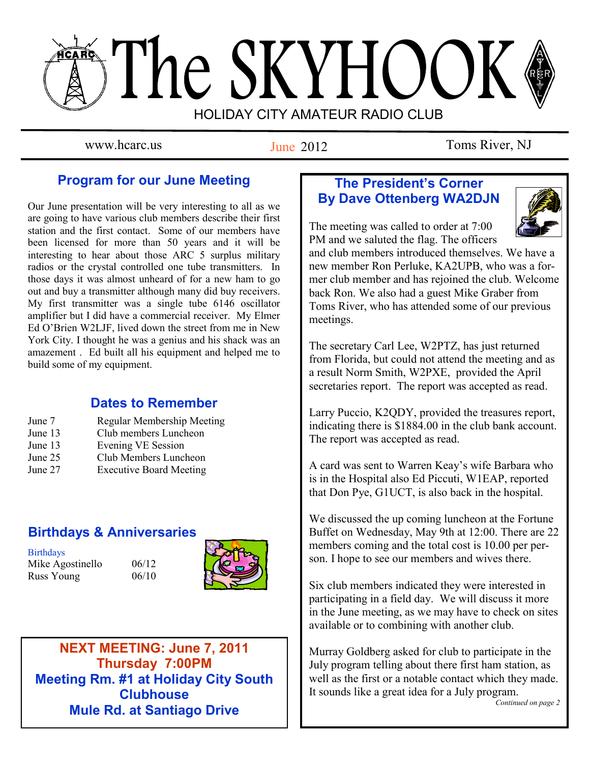# The SKYHOOK HOLIDAY CITY AMATEUR RADIO CLUB

June 2012

www.hcarc.us Iune 2012 Toms River, NJ

# **Program for our June Meeting**

Our June presentation will be very interesting to all as we are going to have various club members describe their first station and the first contact. Some of our members have been licensed for more than 50 years and it will be interesting to hear about those ARC 5 surplus military radios or the crystal controlled one tube transmitters. In those days it was almost unheard of for a new ham to go out and buy a transmitter although many did buy receivers. My first transmitter was a single tube 6146 oscillator amplifier but I did have a commercial receiver. My Elmer Ed O'Brien W2LJF, lived down the street from me in New York City. I thought he was a genius and his shack was an amazement . Ed built all his equipment and helped me to build some of my equipment.

## **Dates to Remember**

- June 7 Regular Membership Meeting June 13 Club members Luncheon June 13 Evening VE Session
- June 25 Club Members Luncheon
- June 27 Executive Board Meeting

# **Birthdays & Anniversaries**

**Birthdays** Mike Agostinello  $06/12$ Russ Young 06/10





**NEXT MEETING: June 7, 2011 Thursday 7:00PM Meeting Rm. #1 at Holiday City South Clubhouse Mule Rd. at Santiago Drive**

## **The President's Corner By Dave Ottenberg WA2DJN**

The meeting was called to order at 7:00 PM and we saluted the flag. The officers

and club members introduced themselves. We have a new member Ron Perluke, KA2UPB, who was a former club member and has rejoined the club. Welcome back Ron. We also had a guest Mike Graber from Toms River, who has attended some of our previous meetings.

The secretary Carl Lee, W2PTZ, has just returned from Florida, but could not attend the meeting and as a result Norm Smith, W2PXE, provided the April secretaries report. The report was accepted as read.

Larry Puccio, K2QDY, provided the treasures report, indicating there is \$1884.00 in the club bank account. The report was accepted as read.

A card was sent to Warren Keay's wife Barbara who is in the Hospital also Ed Piccuti, W1EAP, reported that Don Pye, G1UCT, is also back in the hospital.

We discussed the up coming luncheon at the Fortune Buffet on Wednesday, May 9th at 12:00. There are 22 members coming and the total cost is 10.00 per person. I hope to see our members and wives there.

Six club members indicated they were interested in participating in a field day. We will discuss it more in the June meeting, as we may have to check on sites available or to combining with another club.

Murray Goldberg asked for club to participate in the July program telling about there first ham station, as well as the first or a notable contact which they made. It sounds like a great idea for a July program.

*Continued on page 2*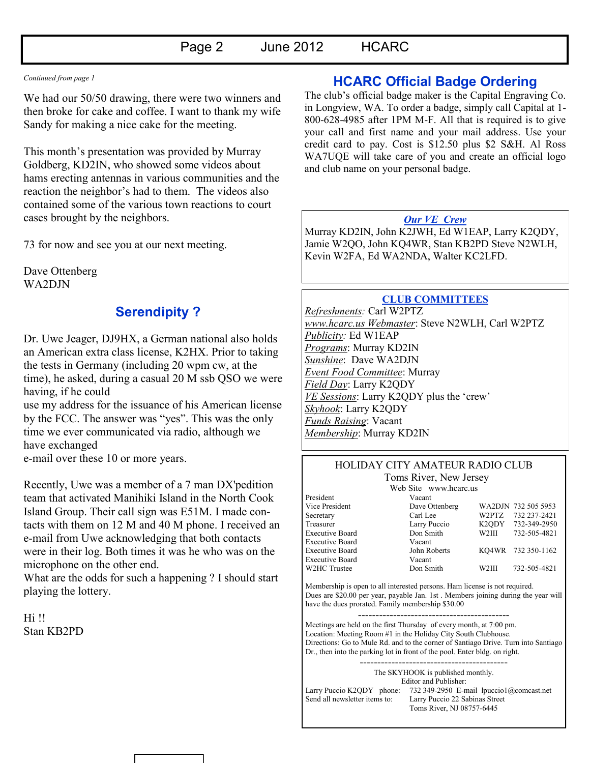#### *Continued from page 1*

We had our 50/50 drawing, there were two winners and then broke for cake and coffee. I want to thank my wife Sandy for making a nice cake for the meeting.

This month's presentation was provided by Murray Goldberg, KD2IN, who showed some videos about hams erecting antennas in various communities and the reaction the neighbor's had to them. The videos also contained some of the various town reactions to court cases brought by the neighbors.

73 for now and see you at our next meeting.

Dave Ottenberg WA2DJN

## **Serendipity ?**

Dr. Uwe Jeager, DJ9HX, a German national also holds an American extra class license, K2HX. Prior to taking the tests in Germany (including 20 wpm cw, at the time), he asked, during a casual 20 M ssb QSO we were having, if he could

use my address for the issuance of his American license by the FCC. The answer was "yes". This was the only time we ever communicated via radio, although we have exchanged

e-mail over these 10 or more years.

Recently, Uwe was a member of a 7 man DX'pedition team that activated Manihiki Island in the North Cook Island Group. Their call sign was E51M. I made contacts with them on 12 M and 40 M phone. I received an e-mail from Uwe acknowledging that both contacts were in their log. Both times it was he who was on the microphone on the other end.

What are the odds for such a happening ? I should start playing the lottery.

Hi !! Stan KB2PD

## **HCARC Official Badge Ordering**

The club's official badge maker is the Capital Engraving Co. in Longview, WA. To order a badge, simply call Capital at 1- 800-628-4985 after 1PM M-F. All that is required is to give your call and first name and your mail address. Use your credit card to pay. Cost is \$12.50 plus \$2 S&H. Al Ross WA7UQE will take care of you and create an official logo and club name on your personal badge.

#### *Our VE Crew*

Murray KD2IN, John K2JWH, Ed W1EAP, Larry K2QDY, Jamie W2QO, John KQ4WR, Stan KB2PD Steve N2WLH, Kevin W2FA, Ed WA2NDA, Walter KC2LFD.

#### **CLUB COMMITTEES**

*Refreshments:* Carl W2PTZ *www.hcarc.us Webmaster*: Steve N2WLH, Carl W2PTZ *Publicity:* Ed W1EAP *Programs*: Murray KD2IN *Sunshine*: Dave WA2DJN *Event Food Committee*: Murray *Field Day*: Larry K2QDY *VE Sessions*: Larry K2QDY plus the 'crew' *Skyhook*: Larry K2QDY *Funds Raising*: Vacant *Membership*: Murray KD2IN

# HOLIDAY CITY AMATEUR RADIO CLUB

Toms River, New Jersey

|                        | Web Site www.hcarc.us |       |                     |
|------------------------|-----------------------|-------|---------------------|
| President              | Vacant                |       |                     |
| Vice President         | Dave Ottenberg        |       | WA2DJN 732 505 5953 |
| Secretary              | Carl Lee              | W2PTZ | 732 237-2421        |
| Treasurer              | Larry Puccio          |       | K2ODY 732-349-2950  |
| <b>Executive Board</b> | Don Smith             | W2III | 732-505-4821        |
| <b>Executive Board</b> | Vacant                |       |                     |
| <b>Executive Board</b> | John Roberts          |       | KO4WR 732 350-1162  |
| <b>Executive Board</b> | Vacant                |       |                     |
| W2HC Trustee           | Don Smith             | W2III | 732-505-4821        |
|                        |                       |       |                     |

Membership is open to all interested persons. Ham license is not required. Dues are \$20.00 per year, payable Jan. 1st . Members joining during the year will have the dues prorated. Family membership \$30.00

------------------------------------------- Meetings are held on the first Thursday of every month, at 7:00 pm. Location: Meeting Room #1 in the Holiday City South Clubhouse. Directions: Go to Mule Rd. and to the corner of Santiago Drive. Turn into Santiago Dr., then into the parking lot in front of the pool. Enter bldg. on right.

> The SKYHOOK is published monthly. Editor and Publisher:

Larry Puccio K2QDY phone: 732 349-2950 E-mail lpuccio1@comcast.net<br>Send all newsletter items to: Larry Puccio 22 Sabinas Street Larry Puccio 22 Sabinas Street Toms River, NJ 08757-6445

------------------------------------------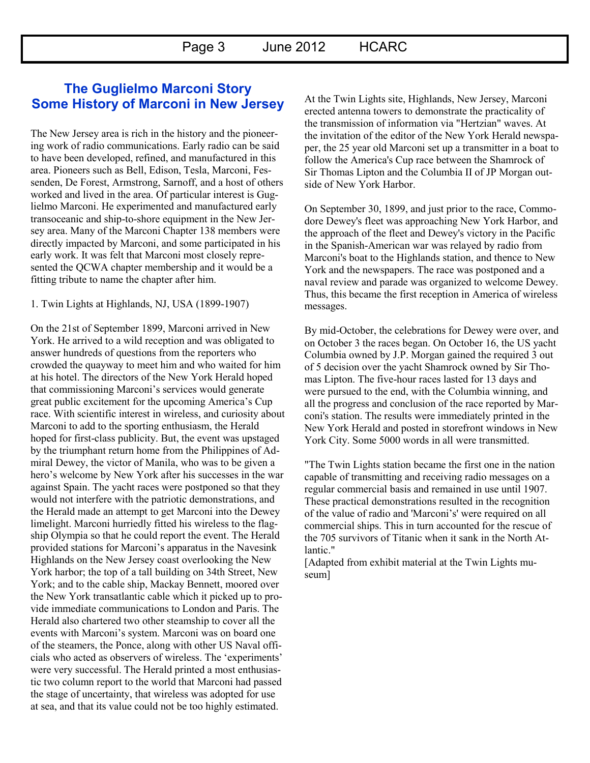## **The Guglielmo Marconi Story Some History of Marconi in New Jersey**

The New Jersey area is rich in the history and the pioneering work of radio communications. Early radio can be said to have been developed, refined, and manufactured in this area. Pioneers such as Bell, Edison, Tesla, Marconi, Fessenden, De Forest, Armstrong, Sarnoff, and a host of others worked and lived in the area. Of particular interest is Guglielmo Marconi. He experimented and manufactured early transoceanic and ship-to-shore equipment in the New Jersey area. Many of the Marconi Chapter 138 members were directly impacted by Marconi, and some participated in his early work. It was felt that Marconi most closely represented the QCWA chapter membership and it would be a fitting tribute to name the chapter after him.

1. Twin Lights at Highlands, NJ, USA (1899-1907)

On the 21st of September 1899, Marconi arrived in New York. He arrived to a wild reception and was obligated to answer hundreds of questions from the reporters who crowded the quayway to meet him and who waited for him at his hotel. The directors of the New York Herald hoped that commissioning Marconi's services would generate great public excitement for the upcoming America's Cup race. With scientific interest in wireless, and curiosity about Marconi to add to the sporting enthusiasm, the Herald hoped for first-class publicity. But, the event was upstaged by the triumphant return home from the Philippines of Admiral Dewey, the victor of Manila, who was to be given a hero's welcome by New York after his successes in the war against Spain. The yacht races were postponed so that they would not interfere with the patriotic demonstrations, and the Herald made an attempt to get Marconi into the Dewey limelight. Marconi hurriedly fitted his wireless to the flagship Olympia so that he could report the event. The Herald provided stations for Marconi's apparatus in the Navesink Highlands on the New Jersey coast overlooking the New York harbor; the top of a tall building on 34th Street, New York; and to the cable ship, Mackay Bennett, moored over the New York transatlantic cable which it picked up to provide immediate communications to London and Paris. The Herald also chartered two other steamship to cover all the events with Marconi's system. Marconi was on board one of the steamers, the Ponce, along with other US Naval officials who acted as observers of wireless. The 'experiments' were very successful. The Herald printed a most enthusiastic two column report to the world that Marconi had passed the stage of uncertainty, that wireless was adopted for use at sea, and that its value could not be too highly estimated.

At the Twin Lights site, Highlands, New Jersey, Marconi erected antenna towers to demonstrate the practicality of the transmission of information via "Hertzian" waves. At the invitation of the editor of the New York Herald newspaper, the 25 year old Marconi set up a transmitter in a boat to follow the America's Cup race between the Shamrock of Sir Thomas Lipton and the Columbia II of JP Morgan outside of New York Harbor.

On September 30, 1899, and just prior to the race, Commodore Dewey's fleet was approaching New York Harbor, and the approach of the fleet and Dewey's victory in the Pacific in the Spanish-American war was relayed by radio from Marconi's boat to the Highlands station, and thence to New York and the newspapers. The race was postponed and a naval review and parade was organized to welcome Dewey. Thus, this became the first reception in America of wireless messages.

By mid-October, the celebrations for Dewey were over, and on October 3 the races began. On October 16, the US yacht Columbia owned by J.P. Morgan gained the required 3 out of 5 decision over the yacht Shamrock owned by Sir Thomas Lipton. The five-hour races lasted for 13 days and were pursued to the end, with the Columbia winning, and all the progress and conclusion of the race reported by Marconi's station. The results were immediately printed in the New York Herald and posted in storefront windows in New York City. Some 5000 words in all were transmitted.

"The Twin Lights station became the first one in the nation capable of transmitting and receiving radio messages on a regular commercial basis and remained in use until 1907. These practical demonstrations resulted in the recognition of the value of radio and 'Marconi's' were required on all commercial ships. This in turn accounted for the rescue of the 705 survivors of Titanic when it sank in the North Atlantic."

[Adapted from exhibit material at the Twin Lights museum]